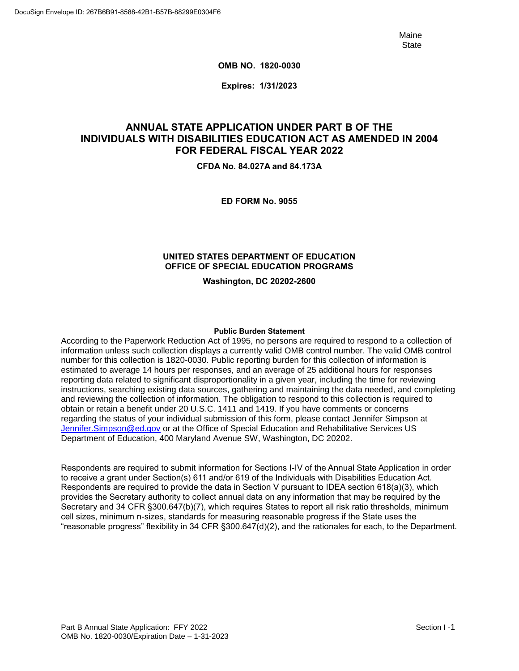Maine **State** 

**OMB NO. 1820-0030**

**Expires: 1/31/2023**

# **ANNUAL STATE APPLICATION UNDER PART B OF THE INDIVIDUALS WITH DISABILITIES EDUCATION ACT AS AMENDED IN 2004 FOR FEDERAL FISCAL YEAR 2022**

**CFDA No. 84.027A and 84.173A**

**ED FORM No. 9055**

#### **UNITED STATES DEPARTMENT OF EDUCATION OFFICE OF SPECIAL EDUCATION PROGRAMS**

**Washington, DC 20202-2600**

#### **Public Burden Statement**

According to the Paperwork Reduction Act of 1995, no persons are required to respond to a collection of information unless such collection displays a currently valid OMB control number. The valid OMB control number for this collection is 1820-0030. Public reporting burden for this collection of information is estimated to average 14 hours per responses, and an average of 25 additional hours for responses reporting data related to significant disproportionality in a given year, including the time for reviewing instructions, searching existing data sources, gathering and maintaining the data needed, and completing and reviewing the collection of information. The obligation to respond to this collection is required to obtain or retain a benefit under 20 U.S.C. 1411 and 1419. If you have comments or concerns regarding the status of your individual submission of this form, please contact Jennifer Simpson at [Jennifer.Simpson@ed.gov](mailto:Jennifer.Simpson@ed.gov) or at the Office of Special Education and Rehabilitative Services US Department of Education, 400 Maryland Avenue SW, Washington, DC 20202.

Respondents are required to submit information for Sections I-IV of the Annual State Application in order to receive a grant under Section(s) 611 and/or 619 of the Individuals with Disabilities Education Act. Respondents are required to provide the data in Section V pursuant to IDEA section 618(a)(3), which provides the Secretary authority to collect annual data on any information that may be required by the Secretary and 34 CFR §300.647(b)(7), which requires States to report all risk ratio thresholds, minimum cell sizes, minimum n-sizes, standards for measuring reasonable progress if the State uses the "reasonable progress" flexibility in 34 CFR §300.647(d)(2), and the rationales for each, to the Department.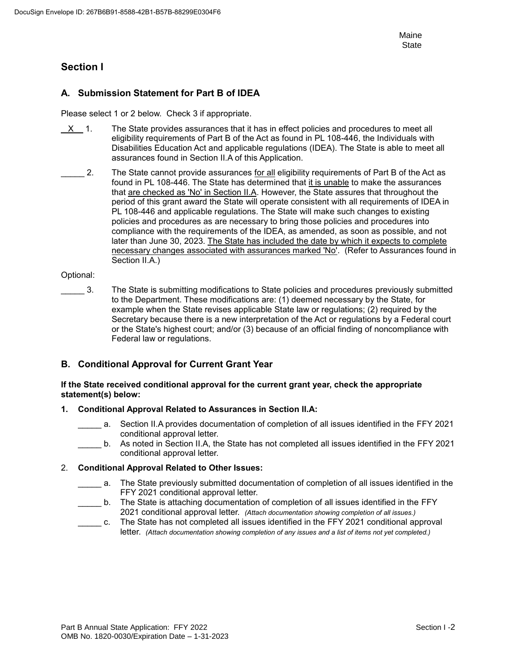# **Section I**

## **A. Submission Statement for Part B of IDEA**

Please select 1 or 2 below. Check 3 if appropriate.

- X 1. The State provides assurances that it has in effect policies and procedures to meet all eligibility requirements of Part B of the Act as found in PL 108-446, the Individuals with Disabilities Education Act and applicable regulations (IDEA). The State is able to meet all assurances found in Section II.A of this Application.
- 2. The State cannot provide assurances for all eligibility requirements of Part B of the Act as found in PL 108-446. The State has determined that it is unable to make the assurances that are checked as 'No' in Section II.A. However, the State assures that throughout the period of this grant award the State will operate consistent with all requirements of IDEA in PL 108-446 and applicable regulations. The State will make such changes to existing policies and procedures as are necessary to bring those policies and procedures into compliance with the requirements of the IDEA, as amended, as soon as possible, and not later than June 30, 2023. The State has included the date by which it expects to complete necessary changes associated with assurances marked 'No'. (Refer to Assurances found in Section II.A.)

#### Optional:

\_\_\_\_\_ 3. The State is submitting modifications to State policies and procedures previously submitted to the Department. These modifications are: (1) deemed necessary by the State, for example when the State revises applicable State law or regulations; (2) required by the Secretary because there is a new interpretation of the Act or regulations by a Federal court or the State's highest court; and/or (3) because of an official finding of noncompliance with Federal law or regulations.

### **B. Conditional Approval for Current Grant Year**

#### **If the State received conditional approval for the current grant year, check the appropriate statement(s) below:**

#### **1. Conditional Approval Related to Assurances in Section II.A:**

- a. Section II.A provides documentation of completion of all issues identified in the FFY 2021 conditional approval letter.
- b. As noted in Section II.A, the State has not completed all issues identified in the FFY 2021 conditional approval letter.

#### 2. **Conditional Approval Related to Other Issues:**

- \_\_\_\_\_ a. The State previously submitted documentation of completion of all issues identified in the FFY 2021 conditional approval letter.
- \_\_\_\_\_ b. The State is attaching documentation of completion of all issues identified in the FFY 2021 conditional approval letter. *(Attach documentation showing completion of all issues.)*
- \_\_\_\_\_ c. The State has not completed all issues identified in the FFY 2021 conditional approval letter. *(Attach documentation showing completion of any issues and a list of items not yet completed.)*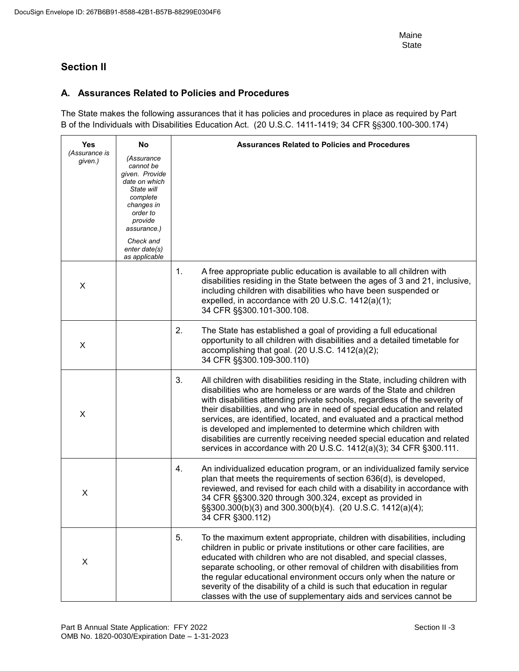# **Section II**

## **A. Assurances Related to Policies and Procedures**

The State makes the following assurances that it has policies and procedures in place as required by Part B of the Individuals with Disabilities Education Act. (20 U.S.C. 1411-1419; 34 CFR §§300.100-300.174)

| Yes                      | <b>No</b>                                                                                                                                                              | <b>Assurances Related to Policies and Procedures</b>                                                                                                                                                                                                                                                                                                                                                                                                                                                                                                                                                                 |
|--------------------------|------------------------------------------------------------------------------------------------------------------------------------------------------------------------|----------------------------------------------------------------------------------------------------------------------------------------------------------------------------------------------------------------------------------------------------------------------------------------------------------------------------------------------------------------------------------------------------------------------------------------------------------------------------------------------------------------------------------------------------------------------------------------------------------------------|
| (Assurance is<br>given.) | (Assurance<br>cannot be<br>given. Provide<br>date on which<br>State will<br>complete<br>changes in<br>order to<br>provide<br>assurance.)<br>Check and<br>enter date(s) |                                                                                                                                                                                                                                                                                                                                                                                                                                                                                                                                                                                                                      |
| X                        | as applicable                                                                                                                                                          | 1.<br>A free appropriate public education is available to all children with<br>disabilities residing in the State between the ages of 3 and 21, inclusive,<br>including children with disabilities who have been suspended or<br>expelled, in accordance with 20 U.S.C. 1412(a)(1);<br>34 CFR §§300.101-300.108.                                                                                                                                                                                                                                                                                                     |
| X                        |                                                                                                                                                                        | 2.<br>The State has established a goal of providing a full educational<br>opportunity to all children with disabilities and a detailed timetable for<br>accomplishing that goal. (20 U.S.C. 1412(a)(2);<br>34 CFR §§300.109-300.110)                                                                                                                                                                                                                                                                                                                                                                                 |
| X                        |                                                                                                                                                                        | 3.<br>All children with disabilities residing in the State, including children with<br>disabilities who are homeless or are wards of the State and children<br>with disabilities attending private schools, regardless of the severity of<br>their disabilities, and who are in need of special education and related<br>services, are identified, located, and evaluated and a practical method<br>is developed and implemented to determine which children with<br>disabilities are currently receiving needed special education and related<br>services in accordance with 20 U.S.C. 1412(a)(3); 34 CFR §300.111. |
| X                        |                                                                                                                                                                        | An individualized education program, or an individualized family service<br>4.<br>plan that meets the requirements of section 636(d), is developed,<br>reviewed, and revised for each child with a disability in accordance with<br>34 CFR §§300.320 through 300.324, except as provided in<br>§§300.300(b)(3) and 300.300(b)(4). (20 U.S.C. 1412(a)(4);<br>34 CFR §300.112)                                                                                                                                                                                                                                         |
| X                        |                                                                                                                                                                        | 5.<br>To the maximum extent appropriate, children with disabilities, including<br>children in public or private institutions or other care facilities, are<br>educated with children who are not disabled, and special classes,<br>separate schooling, or other removal of children with disabilities from<br>the regular educational environment occurs only when the nature or<br>severity of the disability of a child is such that education in regular<br>classes with the use of supplementary aids and services cannot be                                                                                     |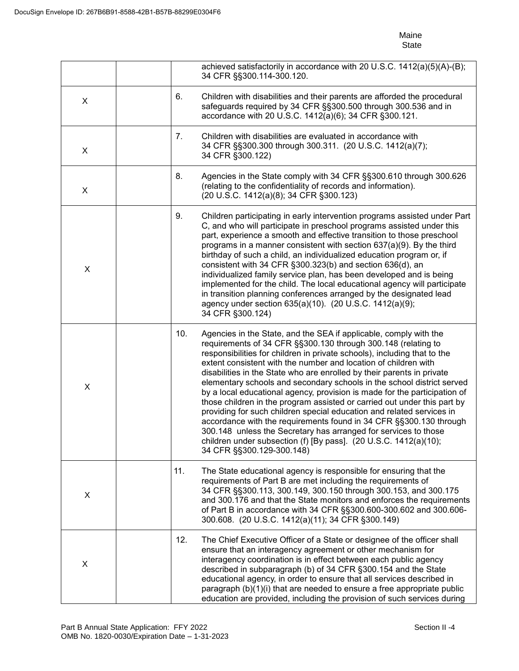|   |     | achieved satisfactorily in accordance with 20 U.S.C. 1412(a)(5)(A)-(B);<br>34 CFR §§300.114-300.120.                                                                                                                                                                                                                                                                                                                                                                                                                                                                                                                                                                                                                                                                                                                                                                                                              |
|---|-----|-------------------------------------------------------------------------------------------------------------------------------------------------------------------------------------------------------------------------------------------------------------------------------------------------------------------------------------------------------------------------------------------------------------------------------------------------------------------------------------------------------------------------------------------------------------------------------------------------------------------------------------------------------------------------------------------------------------------------------------------------------------------------------------------------------------------------------------------------------------------------------------------------------------------|
| X | 6.  | Children with disabilities and their parents are afforded the procedural<br>safeguards required by 34 CFR §§300.500 through 300.536 and in<br>accordance with 20 U.S.C. 1412(a)(6); 34 CFR §300.121.                                                                                                                                                                                                                                                                                                                                                                                                                                                                                                                                                                                                                                                                                                              |
| X | 7.  | Children with disabilities are evaluated in accordance with<br>34 CFR §§300.300 through 300.311. (20 U.S.C. 1412(a)(7);<br>34 CFR §300.122)                                                                                                                                                                                                                                                                                                                                                                                                                                                                                                                                                                                                                                                                                                                                                                       |
| X | 8.  | Agencies in the State comply with 34 CFR §§300.610 through 300.626<br>(relating to the confidentiality of records and information).<br>(20 U.S.C. 1412(a)(8); 34 CFR §300.123)                                                                                                                                                                                                                                                                                                                                                                                                                                                                                                                                                                                                                                                                                                                                    |
| X | 9.  | Children participating in early intervention programs assisted under Part<br>C, and who will participate in preschool programs assisted under this<br>part, experience a smooth and effective transition to those preschool<br>programs in a manner consistent with section $637(a)(9)$ . By the third<br>birthday of such a child, an individualized education program or, if<br>consistent with 34 CFR §300.323(b) and section 636(d), an<br>individualized family service plan, has been developed and is being<br>implemented for the child. The local educational agency will participate<br>in transition planning conferences arranged by the designated lead<br>agency under section 635(a)(10). (20 U.S.C. 1412(a)(9);<br>34 CFR §300.124)                                                                                                                                                               |
| X | 10. | Agencies in the State, and the SEA if applicable, comply with the<br>requirements of 34 CFR §§300.130 through 300.148 (relating to<br>responsibilities for children in private schools), including that to the<br>extent consistent with the number and location of children with<br>disabilities in the State who are enrolled by their parents in private<br>elementary schools and secondary schools in the school district served<br>by a local educational agency, provision is made for the participation of<br>those children in the program assisted or carried out under this part by<br>providing for such children special education and related services in<br>accordance with the requirements found in 34 CFR §§300.130 through<br>300.148 unless the Secretary has arranged for services to those<br>children under subsection (f) [By pass]. (20 U.S.C. 1412(a)(10);<br>34 CFR §§300.129-300.148) |
| X | 11. | The State educational agency is responsible for ensuring that the<br>requirements of Part B are met including the requirements of<br>34 CFR §§300.113, 300.149, 300.150 through 300.153, and 300.175<br>and 300.176 and that the State monitors and enforces the requirements<br>of Part B in accordance with 34 CFR §§300.600-300.602 and 300.606-<br>300.608. (20 U.S.C. 1412(a)(11); 34 CFR §300.149)                                                                                                                                                                                                                                                                                                                                                                                                                                                                                                          |
| X | 12. | The Chief Executive Officer of a State or designee of the officer shall<br>ensure that an interagency agreement or other mechanism for<br>interagency coordination is in effect between each public agency<br>described in subparagraph (b) of 34 CFR §300.154 and the State<br>educational agency, in order to ensure that all services described in<br>paragraph (b)(1)(i) that are needed to ensure a free appropriate public<br>education are provided, including the provision of such services during                                                                                                                                                                                                                                                                                                                                                                                                       |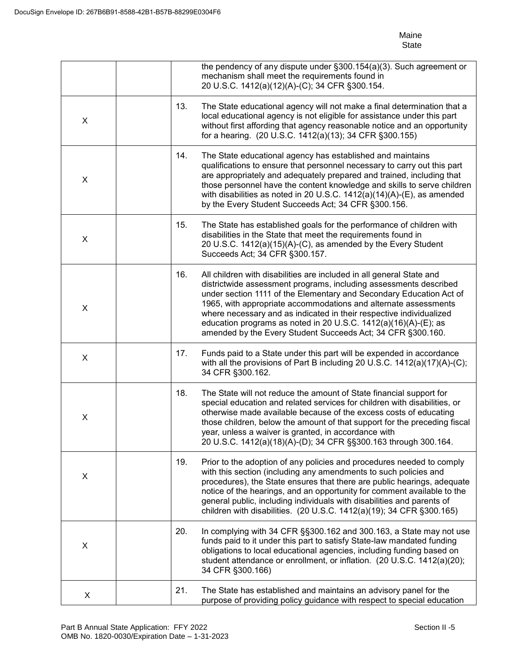|   |     | the pendency of any dispute under §300.154(a)(3). Such agreement or<br>mechanism shall meet the requirements found in<br>20 U.S.C. 1412(a)(12)(A)-(C); 34 CFR §300.154.                                                                                                                                                                                                                                                                                                                      |
|---|-----|----------------------------------------------------------------------------------------------------------------------------------------------------------------------------------------------------------------------------------------------------------------------------------------------------------------------------------------------------------------------------------------------------------------------------------------------------------------------------------------------|
| X | 13. | The State educational agency will not make a final determination that a<br>local educational agency is not eligible for assistance under this part<br>without first affording that agency reasonable notice and an opportunity<br>for a hearing. (20 U.S.C. 1412(a)(13); 34 CFR §300.155)                                                                                                                                                                                                    |
| X | 14. | The State educational agency has established and maintains<br>qualifications to ensure that personnel necessary to carry out this part<br>are appropriately and adequately prepared and trained, including that<br>those personnel have the content knowledge and skills to serve children<br>with disabilities as noted in 20 U.S.C. $1412(a)(14)(A)$ -(E), as amended<br>by the Every Student Succeeds Act; 34 CFR §300.156.                                                               |
| X | 15. | The State has established goals for the performance of children with<br>disabilities in the State that meet the requirements found in<br>20 U.S.C. 1412(a)(15)(A)-(C), as amended by the Every Student<br>Succeeds Act; 34 CFR §300.157.                                                                                                                                                                                                                                                     |
| X | 16. | All children with disabilities are included in all general State and<br>districtwide assessment programs, including assessments described<br>under section 1111 of the Elementary and Secondary Education Act of<br>1965, with appropriate accommodations and alternate assessments<br>where necessary and as indicated in their respective individualized<br>education programs as noted in 20 U.S.C. 1412(a)(16)(A)-(E); as<br>amended by the Every Student Succeeds Act; 34 CFR §300.160. |
| X | 17. | Funds paid to a State under this part will be expended in accordance<br>with all the provisions of Part B including 20 U.S.C. 1412(a)(17)(A)-(C);<br>34 CFR §300.162.                                                                                                                                                                                                                                                                                                                        |
| X | 18. | The State will not reduce the amount of State financial support for<br>special education and related services for children with disabilities, or<br>otherwise made available because of the excess costs of educating<br>those children, below the amount of that support for the preceding fiscal<br>year, unless a waiver is granted, in accordance with<br>20 U.S.C. 1412(a)(18)(A)-(D); 34 CFR §§300.163 through 300.164.                                                                |
| X | 19. | Prior to the adoption of any policies and procedures needed to comply<br>with this section (including any amendments to such policies and<br>procedures), the State ensures that there are public hearings, adequate<br>notice of the hearings, and an opportunity for comment available to the<br>general public, including individuals with disabilities and parents of<br>children with disabilities. (20 U.S.C. 1412(a)(19); 34 CFR §300.165)                                            |
| X | 20. | In complying with 34 CFR §§300.162 and 300.163, a State may not use<br>funds paid to it under this part to satisfy State-law mandated funding<br>obligations to local educational agencies, including funding based on<br>student attendance or enrollment, or inflation. (20 U.S.C. 1412(a)(20);<br>34 CFR §300.166)                                                                                                                                                                        |
| X | 21. | The State has established and maintains an advisory panel for the<br>purpose of providing policy guidance with respect to special education                                                                                                                                                                                                                                                                                                                                                  |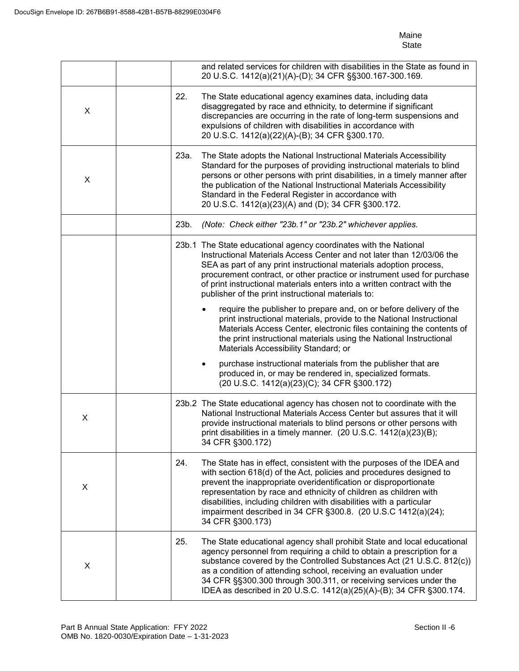|   |      | and related services for children with disabilities in the State as found in<br>20 U.S.C. 1412(a)(21)(A)-(D); 34 CFR §§300.167-300.169.                                                                                                                                                                                                                                                                                                            |
|---|------|----------------------------------------------------------------------------------------------------------------------------------------------------------------------------------------------------------------------------------------------------------------------------------------------------------------------------------------------------------------------------------------------------------------------------------------------------|
| X | 22.  | The State educational agency examines data, including data<br>disaggregated by race and ethnicity, to determine if significant<br>discrepancies are occurring in the rate of long-term suspensions and<br>expulsions of children with disabilities in accordance with<br>20 U.S.C. 1412(a)(22)(A)-(B); 34 CFR §300.170.                                                                                                                            |
| X | 23a. | The State adopts the National Instructional Materials Accessibility<br>Standard for the purposes of providing instructional materials to blind<br>persons or other persons with print disabilities, in a timely manner after<br>the publication of the National Instructional Materials Accessibility<br>Standard in the Federal Register in accordance with<br>20 U.S.C. 1412(a)(23)(A) and (D); 34 CFR §300.172.                                 |
|   | 23b. | (Note: Check either "23b.1" or "23b.2" whichever applies.                                                                                                                                                                                                                                                                                                                                                                                          |
|   |      | 23b.1 The State educational agency coordinates with the National<br>Instructional Materials Access Center and not later than 12/03/06 the<br>SEA as part of any print instructional materials adoption process,<br>procurement contract, or other practice or instrument used for purchase<br>of print instructional materials enters into a written contract with the<br>publisher of the print instructional materials to:                       |
|   |      | require the publisher to prepare and, on or before delivery of the<br>print instructional materials, provide to the National Instructional<br>Materials Access Center, electronic files containing the contents of<br>the print instructional materials using the National Instructional<br>Materials Accessibility Standard; or                                                                                                                   |
|   |      | purchase instructional materials from the publisher that are<br>produced in, or may be rendered in, specialized formats.<br>(20 U.S.C. 1412(a)(23)(C); 34 CFR §300.172)                                                                                                                                                                                                                                                                            |
| X |      | 23b.2 The State educational agency has chosen not to coordinate with the<br>National Instructional Materials Access Center but assures that it will<br>provide instructional materials to blind persons or other persons with<br>print disabilities in a timely manner. (20 U.S.C. 1412(a)(23)(B);<br>34 CFR §300.172)                                                                                                                             |
| X | 24.  | The State has in effect, consistent with the purposes of the IDEA and<br>with section 618(d) of the Act, policies and procedures designed to<br>prevent the inappropriate overidentification or disproportionate<br>representation by race and ethnicity of children as children with<br>disabilities, including children with disabilities with a particular<br>impairment described in 34 CFR §300.8. (20 U.S.C 1412(a)(24);<br>34 CFR §300.173) |
| X | 25.  | The State educational agency shall prohibit State and local educational<br>agency personnel from requiring a child to obtain a prescription for a<br>substance covered by the Controlled Substances Act (21 U.S.C. 812(c))<br>as a condition of attending school, receiving an evaluation under<br>34 CFR §§300.300 through 300.311, or receiving services under the<br>IDEA as described in 20 U.S.C. 1412(a)(25)(A)-(B); 34 CFR §300.174.        |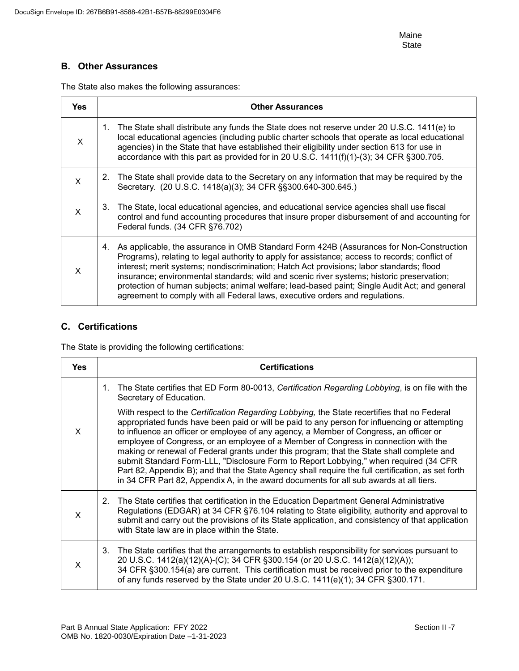### **B. Other Assurances**

The State also makes the following assurances:

| <b>Yes</b> | <b>Other Assurances</b>                                                                                                                                                                                                                                                                                                                                                                                                                                                                                                                                                   |
|------------|---------------------------------------------------------------------------------------------------------------------------------------------------------------------------------------------------------------------------------------------------------------------------------------------------------------------------------------------------------------------------------------------------------------------------------------------------------------------------------------------------------------------------------------------------------------------------|
| X          | 1. The State shall distribute any funds the State does not reserve under 20 U.S.C. 1411(e) to<br>local educational agencies (including public charter schools that operate as local educational<br>agencies) in the State that have established their eligibility under section 613 for use in<br>accordance with this part as provided for in 20 U.S.C. 1411(f)(1)-(3); 34 CFR §300.705.                                                                                                                                                                                 |
| X          | 2. The State shall provide data to the Secretary on any information that may be required by the<br>Secretary. (20 U.S.C. 1418(a)(3); 34 CFR §§300.640-300.645.)                                                                                                                                                                                                                                                                                                                                                                                                           |
| X          | 3. The State, local educational agencies, and educational service agencies shall use fiscal<br>control and fund accounting procedures that insure proper disbursement of and accounting for<br>Federal funds. (34 CFR §76.702)                                                                                                                                                                                                                                                                                                                                            |
| X          | As applicable, the assurance in OMB Standard Form 424B (Assurances for Non-Construction<br>4.<br>Programs), relating to legal authority to apply for assistance; access to records; conflict of<br>interest; merit systems; nondiscrimination; Hatch Act provisions; labor standards; flood<br>insurance; environmental standards; wild and scenic river systems; historic preservation;<br>protection of human subjects; animal welfare; lead-based paint; Single Audit Act; and general<br>agreement to comply with all Federal laws, executive orders and regulations. |

### **C. Certifications**

The State is providing the following certifications:

| <b>Yes</b> | <b>Certifications</b>                                                                                                                                                                                                                                                                                                                                                                                                                                                                                                                                                                                                                                                                                                                                               |
|------------|---------------------------------------------------------------------------------------------------------------------------------------------------------------------------------------------------------------------------------------------------------------------------------------------------------------------------------------------------------------------------------------------------------------------------------------------------------------------------------------------------------------------------------------------------------------------------------------------------------------------------------------------------------------------------------------------------------------------------------------------------------------------|
|            | The State certifies that ED Form 80-0013, Certification Regarding Lobbying, is on file with the<br>1.<br>Secretary of Education.                                                                                                                                                                                                                                                                                                                                                                                                                                                                                                                                                                                                                                    |
| X          | With respect to the Certification Regarding Lobbying, the State recertifies that no Federal<br>appropriated funds have been paid or will be paid to any person for influencing or attempting<br>to influence an officer or employee of any agency, a Member of Congress, an officer or<br>employee of Congress, or an employee of a Member of Congress in connection with the<br>making or renewal of Federal grants under this program; that the State shall complete and<br>submit Standard Form-LLL, "Disclosure Form to Report Lobbying," when required (34 CFR<br>Part 82, Appendix B); and that the State Agency shall require the full certification, as set forth<br>in 34 CFR Part 82, Appendix A, in the award documents for all sub awards at all tiers. |
| X          | The State certifies that certification in the Education Department General Administrative<br>2.<br>Regulations (EDGAR) at 34 CFR §76.104 relating to State eligibility, authority and approval to<br>submit and carry out the provisions of its State application, and consistency of that application<br>with State law are in place within the State.                                                                                                                                                                                                                                                                                                                                                                                                             |
| X          | The State certifies that the arrangements to establish responsibility for services pursuant to<br>3.<br>20 U.S.C. 1412(a)(12)(A)-(C); 34 CFR §300.154 (or 20 U.S.C. 1412(a)(12)(A));<br>34 CFR §300.154(a) are current. This certification must be received prior to the expenditure<br>of any funds reserved by the State under 20 U.S.C. 1411(e)(1); 34 CFR §300.171.                                                                                                                                                                                                                                                                                                                                                                                             |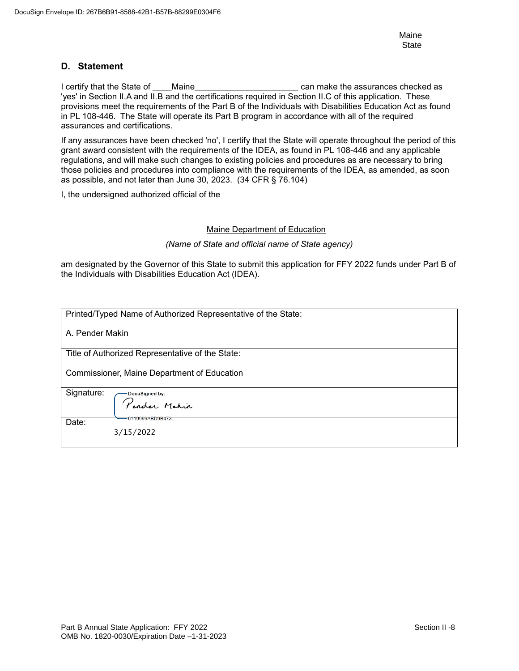Maine **State** 

#### **D. Statement**

I certify that the State of Maine **Maine Example 2** can make the assurances checked as 'yes' in Section II.A and II.B and the certifications required in Section II.C of this application. These provisions meet the requirements of the Part B of the Individuals with Disabilities Education Act as found in PL 108-446. The State will operate its Part B program in accordance with all of the required assurances and certifications.

If any assurances have been checked 'no', I certify that the State will operate throughout the period of this grant award consistent with the requirements of the IDEA, as found in PL 108-446 and any applicable regulations, and will make such changes to existing policies and procedures as are necessary to bring those policies and procedures into compliance with the requirements of the IDEA, as amended, as soon as possible, and not later than June 30, 2023. (34 CFR § 76.104)

I, the undersigned authorized official of the

#### Maine Department of Education

*(Name of State and official name of State agency)*

am designated by the Governor of this State to submit this application for FFY 2022 funds under Part B of the Individuals with Disabilities Education Act (IDEA).

| Printed/Typed Name of Authorized Representative of the State: |
|---------------------------------------------------------------|
| A. Pender Makin                                               |
| Title of Authorized Representative of the State:              |
| Commissioner, Maine Department of Education                   |
| Signature:                                                    |
| Docusigned by:<br>Pender Makin                                |
|                                                               |
| <del>-6119999ABD9B473</del><br>Date:                          |
| 3/15/2022                                                     |
|                                                               |
|                                                               |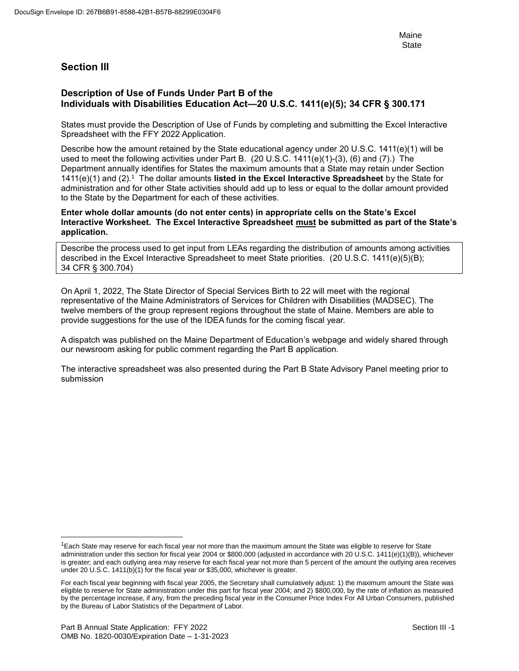# **Section III**

#### **Description of Use of Funds Under Part B of the Individuals with Disabilities Education Act—20 U.S.C. 1411(e)(5); 34 CFR § 300.171**

States must provide the Description of Use of Funds by completing and submitting the Excel Interactive Spreadsheet with the FFY 2022 Application.

Describe how the amount retained by the State educational agency under 20 U.S.C. 1411(e)(1) will be used to meet the following activities under Part B. (20 U.S.C. 1411(e)(1)-(3), (6) and (7).) The Department annually identifies for States the maximum amounts that a State may retain under Section 1411(e)(1) and (2).<sup>1</sup> The dollar amounts listed in the Excel Interactive Spreadsheet by the State for administration and for other State activities should add up to less or equal to the dollar amount provided to the State by the Department for each of these activities.

**Enter whole dollar amounts (do not enter cents) in appropriate cells on the State's Excel Interactive Worksheet. The Excel Interactive Spreadsheet must be submitted as part of the State's application.**

Describe the process used to get input from LEAs regarding the distribution of amounts among activities described in the Excel Interactive Spreadsheet to meet State priorities. (20 U.S.C. 1411(e)(5)(B); 34 CFR § 300.704)

On April 1, 2022, The State Director of Special Services Birth to 22 will meet with the regional representative of the Maine Administrators of Services for Children with Disabilities (MADSEC). The twelve members of the group represent regions throughout the state of Maine. Members are able to provide suggestions for the use of the IDEA funds for the coming fiscal year.

A dispatch was published on the Maine Department of Education's webpage and widely shared through our newsroom asking for public comment regarding the Part B application.

The interactive spreadsheet was also presented during the Part B State Advisory Panel meeting prior to submission

l

 $1$ Each State may reserve for each fiscal year not more than the maximum amount the State was eligible to reserve for State administration under this section for fiscal year 2004 or \$800,000 (adjusted in accordance with 20 U.S.C. 1411(e)(1)(B)), whichever is greater; and each outlying area may reserve for each fiscal year not more than 5 percent of the amount the outlying area receives under 20 U.S.C. 1411(b)(1) for the fiscal year or \$35,000, whichever is greater.

For each fiscal year beginning with fiscal year 2005, the Secretary shall cumulatively adjust: 1) the maximum amount the State was eligible to reserve for State administration under this part for fiscal year 2004; and 2) \$800,000, by the rate of inflation as measured by the percentage increase, if any, from the preceding fiscal year in the Consumer Price Index For All Urban Consumers, published by the Bureau of Labor Statistics of the Department of Labor.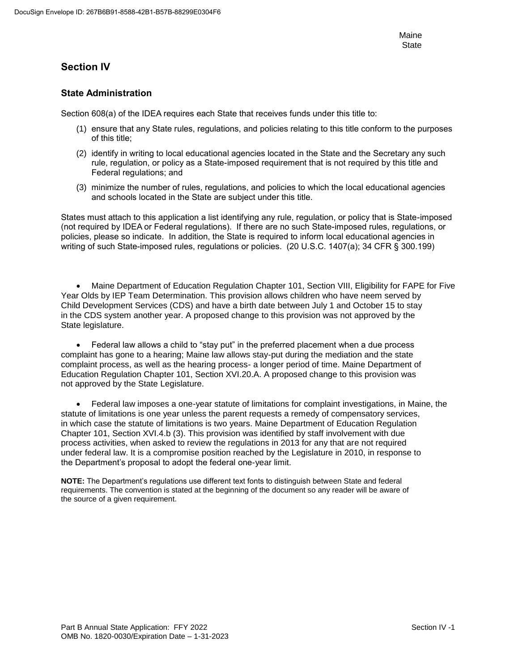# **Section IV**

### **State Administration**

Section 608(a) of the IDEA requires each State that receives funds under this title to:

- (1) ensure that any State rules, regulations, and policies relating to this title conform to the purposes of this title;
- (2) identify in writing to local educational agencies located in the State and the Secretary any such rule, regulation, or policy as a State-imposed requirement that is not required by this title and Federal regulations; and
- (3) minimize the number of rules, regulations, and policies to which the local educational agencies and schools located in the State are subject under this title.

States must attach to this application a list identifying any rule, regulation, or policy that is State-imposed (not required by IDEA or Federal regulations). If there are no such State-imposed rules, regulations, or policies, please so indicate. In addition, the State is required to inform local educational agencies in writing of such State-imposed rules, regulations or policies. (20 U.S.C. 1407(a); 34 CFR § 300.199)

 Maine Department of Education Regulation Chapter 101, Section VIII, Eligibility for FAPE for Five Year Olds by IEP Team Determination. This provision allows children who have neem served by Child Development Services (CDS) and have a birth date between July 1 and October 15 to stay in the CDS system another year. A proposed change to this provision was not approved by the State legislature.

 Federal law allows a child to "stay put" in the preferred placement when a due process complaint has gone to a hearing; Maine law allows stay-put during the mediation and the state complaint process, as well as the hearing process- a longer period of time. Maine Department of Education Regulation Chapter 101, Section XVI.20.A. A proposed change to this provision was not approved by the State Legislature.

 Federal law imposes a one-year statute of limitations for complaint investigations, in Maine, the statute of limitations is one year unless the parent requests a remedy of compensatory services, in which case the statute of limitations is two years. Maine Department of Education Regulation Chapter 101, Section XVI.4.b (3). This provision was identified by staff involvement with due process activities, when asked to review the regulations in 2013 for any that are not required under federal law. It is a compromise position reached by the Legislature in 2010, in response to the Department's proposal to adopt the federal one-year limit.

**NOTE:** The Department's regulations use different text fonts to distinguish between State and federal requirements. The convention is stated at the beginning of the document so any reader will be aware of the source of a given requirement.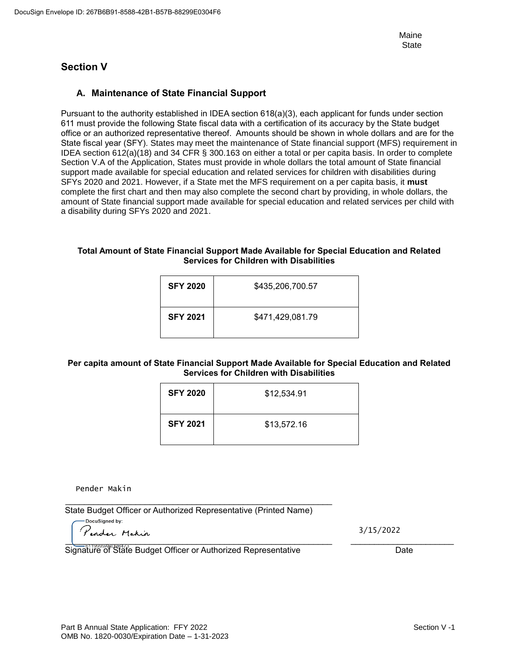# **Section V**

### **A. Maintenance of State Financial Support**

Pursuant to the authority established in IDEA section 618(a)(3), each applicant for funds under section 611 must provide the following State fiscal data with a certification of its accuracy by the State budget office or an authorized representative thereof. Amounts should be shown in whole dollars and are for the State fiscal year (SFY). States may meet the maintenance of State financial support (MFS) requirement in IDEA section 612(a)(18) and 34 CFR § 300.163 on either a total or per capita basis. In order to complete Section V.A of the Application, States must provide in whole dollars the total amount of State financial support made available for special education and related services for children with disabilities during SFYs 2020 and 2021. However, if a State met the MFS requirement on a per capita basis, it **must** complete the first chart and then may also complete the second chart by providing, in whole dollars, the amount of State financial support made available for special education and related services per child with a disability during SFYs 2020 and 2021.

#### **Total Amount of State Financial Support Made Available for Special Education and Related Services for Children with Disabilities**

| <b>SFY 2020</b> | \$435,206,700.57 |
|-----------------|------------------|
| <b>SFY 2021</b> | \$471,429,081.79 |

#### **Per capita amount of State Financial Support Made Available for Special Education and Related Services for Children with Disabilities**

| <b>SFY 2020</b> | \$12,534.91 |
|-----------------|-------------|
| <b>SFY 2021</b> | \$13,572.16 |

Pender Makin

State Budget Officer or Authorized Representative (Printed Name)

\_\_\_\_\_\_\_\_\_\_\_\_\_\_\_\_\_\_\_\_\_\_\_\_\_\_\_\_\_\_\_\_\_\_\_\_\_\_\_\_\_\_\_\_\_\_\_\_\_\_\_\_\_\_\_\_\_

3/15/2022

\_\_\_\_\_\_\_\_\_\_\_\_\_\_\_\_\_\_\_\_\_\_\_\_\_\_\_\_\_\_\_\_\_\_\_\_\_\_\_\_\_\_\_\_\_\_\_\_\_\_\_\_\_\_\_\_\_ \_\_\_\_\_\_\_\_\_\_\_\_\_\_\_\_\_\_\_\_\_\_ Signature of State Budget Officer or Authorized Representative **Date** Date